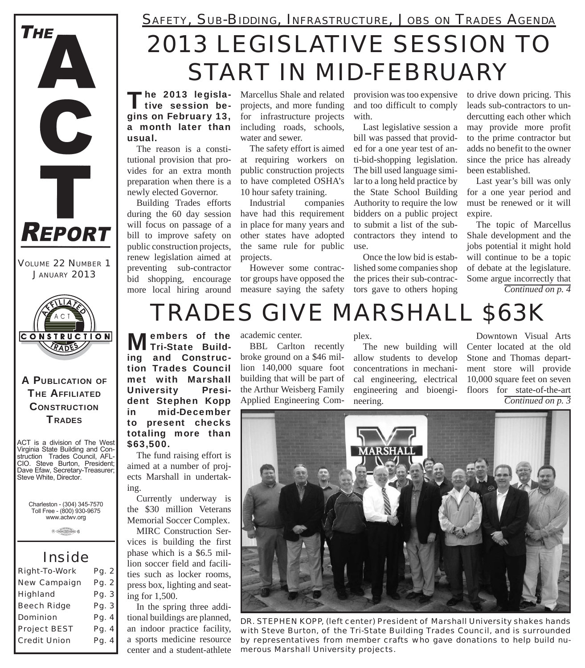

*VOLUME 22 NUMBER 1 JANUARY 2013*



A PUBLICATION OF **THE AFFILIATED CONSTRUCTION TRADES** 

ACT is a division of The West Virginia State Building and Construction Trades Council, AFL-CIO. Steve Burton, President; Dave Efaw, Secretary-Treasurer; Steve White, Director.

Charleston - (304) 345-7570 Toll Free - (800) 930-9675 www.actwv.org

**B** CRADES (MOTORCIA) 6

### *Inside*

| <b>Right-To-Work</b> | Pg. 2 |
|----------------------|-------|
| <b>New Campaign</b>  | Pg. 2 |
| <b>Highland</b>      | Pg. 3 |
| <b>Beech Ridge</b>   | Pg. 3 |
| <b>Dominion</b>      | Pg. 4 |
| <b>Project BEST</b>  | Pg. 4 |
| <b>Credit Union</b>  | Pg. 4 |
|                      |       |

## *2013 LEGISLATIVE SESSION TO START IN MID-FEBRUARY SAFETY, SUB-BIDDING, INFRASTRUCTURE, JOBS ON TRADES AGENDA*

The 2013 legisla-<br>tive session begins on February 13, a month later than usual.

The reason is a constitutional provision that provides for an extra month preparation when there is a newly elected Governor.

Building Trades efforts during the 60 day session will focus on passage of a bill to improve safety on public construction projects, renew legislation aimed at preventing sub-contractor bid shopping, encourage more local hiring around

Marcellus Shale and related projects, and more funding for infrastructure projects including roads, schools, water and sewer.

The safety effort is aimed at requiring workers on public construction projects to have completed OSHA's 10 hour safety training.

Industrial companies have had this requirement in place for many years and other states have adopted the same rule for public projects.

However some contractor groups have opposed the measure saying the safety

provision was too expensive and too difficult to comply with.

Last legislative session a bill was passed that provided for a one year test of anti-bid-shopping legislation. The bill used language similar to a long held practice by the State School Building Authority to require the low bidders on a public project to submit a list of the subcontractors they intend to use.

Once the low bid is established some companies shop the prices their sub-contractors gave to others hoping

to drive down pricing. This leads sub-contractors to undercutting each other which may provide more profit to the prime contractor but adds no benefit to the owner since the price has already been established.

Last year's bill was only for a one year period and must be renewed or it will expire.

The topic of Marcellus Shale development and the jobs potential it might hold will continue to be a topic of debate at the legislature. Some argue incorrectly that *Continued on p. 4*

# *TRADES GIVE MARSHALL \$63K*

**Members of the Suild**ing and Construction Trades Council met with Marshall University President Stephen Kopp in mid-December to present checks totaling more than \$63,500.

The fund raising effort is aimed at a number of projects Marshall in undertaking.

Currently underway is the \$30 million Veterans Memorial Soccer Complex.

MIRC Construction Services is building the first phase which is a \$6.5 million soccer field and facilities such as locker rooms, press box, lighting and seating for 1,500.

In the spring three additional buildings are planned, an indoor practice facility, a sports medicine resource center and a student-athlete

#### academic center.

BBL Carlton recently broke ground on a \$46 million 140,000 square foot building that will be part of the Arthur Weisberg Family Applied Engineering Complex.

The new building will allow students to develop concentrations in mechanical engineering, electrical engineering and bioengineering.

Downtown Visual Arts Center located at the old Stone and Thomas department store will provide 10,000 square feet on seven floors for state-of-the-art *Continued on p. 3*



*DR. STEPHEN KOPP, (left center) President of Marshall University shakes hands with Steve Burton, of the Tri-State Building Trades Council, and is surrounded by representatives from member crafts who gave donations to help build numerous Marshall University projects.*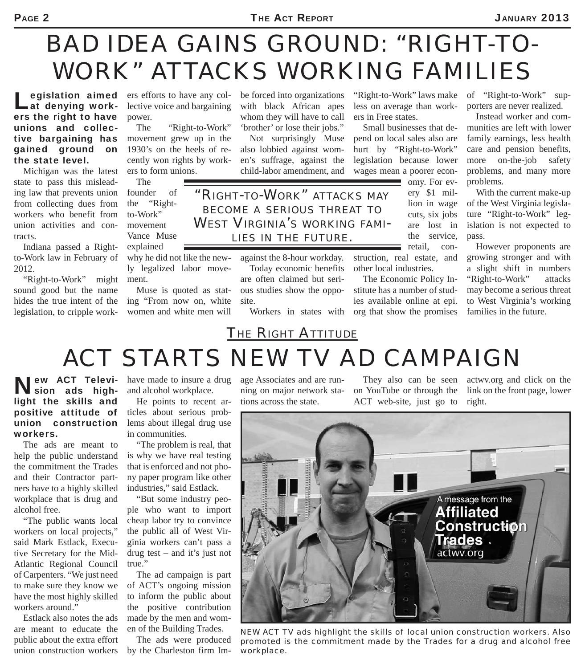# *BAD IDEA GAINS GROUND: "RIGHT-TO-WORK" ATTACKS WORKING FAMILIES*

Legislation aimed<br>Lat denying workers the right to have unions and collective bargaining has gained ground on the state level.

Michigan was the latest state to pass this misleading law that prevents union from collecting dues from workers who benefit from union activities and contracts.

Indiana passed a Rightto-Work law in February of 2012.

"Right-to-Work" might sound good but the name hides the true intent of the legislation, to cripple workers efforts to have any collective voice and bargaining power.

The "Right-to-Work" movement grew up in the 1930's on the heels of recently won rights by workers to form unions.

The founder of the "Rightto-Work" movement Vance Muse explained

why he did not like the newly legalized labor movement.

Muse is quoted as stating "From now on, white women and white men will

be forced into organizations with black African apes whom they will have to call 'brother' or lose their jobs."

Not surprisingly Muse also lobbied against women's suffrage, against the child-labor amendment, and

*"RIGHT-TO-WORK" ATTACKS MAY BECOME A SERIOUS THREAT TO WEST VIRGINIA'S WORKING FAMI-LIES IN THE FUTURE.*

> against the 8-hour workday. Today economic benefits are often claimed but serious studies show the oppo-

site.

Workers in states with

"Right-to-Work" laws make less on average than workers in Free states.

Small businesses that depend on local sales also are hurt by "Right-to-Work" legislation because lower wages mean a poorer econ-

omy. For every \$1 million in wage cuts, six jobs are lost in the service, retail, con-

struction, real estate, and other local industries.

The Economic Policy Institute has a number of studies available online at epi. org that show the promises

of "Right-to-Work" supporters are never realized.

Instead worker and communities are left with lower family earnings, less health care and pension benefits, more on-the-job safety problems, and many more problems.

With the current make-up of the West Virginia legislature "Right-to-Work" legislation is not expected to pass.

However proponents are growing stronger and with a slight shift in numbers "Right-to-Work" attacks may become a serious threat to West Virginia's working families in the future.

## *THE RIGHT ATTITUDE ACT STARTS NEW TV AD CAMPAIGN*

New ACT Television ads highlight the skills and positive attitude of union construction workers.

The ads are meant to help the public understand the commitment the Trades and their Contractor partners have to a highly skilled workplace that is drug and alcohol free.

"The public wants local workers on local projects," said Mark Estlack, Executive Secretary for the Mid-Atlantic Regional Council of Carpenters. "We just need to make sure they know we have the most highly skilled workers around."

Estlack also notes the ads are meant to educate the public about the extra effort union construction workers

have made to insure a drug and alcohol workplace.

He points to recent articles about serious problems about illegal drug use in communities.

"The problem is real, that is why we have real testing that is enforced and not phony paper program like other industries," said Estlack.

"But some industry people who want to import cheap labor try to convince the public all of West Virginia workers can't pass a drug test – and it's just not true."

The ad campaign is part of ACT's ongoing mission to inform the public about the positive contribution made by the men and women of the Building Trades.

The ads were produced by the Charleston firm Image Associates and are running on major network stations across the state.

They also can be seen on YouTube or through the ACT web-site, just go to

actwv.org and click on the link on the front page, lower right.



*NEW ACT TV ads highlight the skills of local union construction workers. Also promoted is the commitment made by the Trades for a drug and alcohol free workplace.*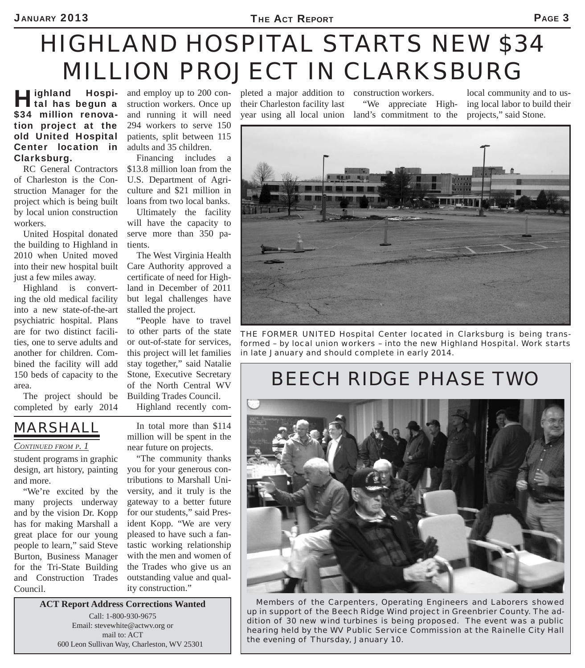# *HIGHLAND HOSPITAL STARTS NEW \$34 MILLION PROJECT IN CLARKSBURG*

**Highland Hospi-**<br> **tal has begun a** \$34 million renovation project at the old United Hospital Center location in Clarksburg.

RC General Contractors of Charleston is the Construction Manager for the project which is being built by local union construction workers.

United Hospital donated the building to Highland in 2010 when United moved into their new hospital built just a few miles away.

Highland is converting the old medical facility into a new state-of-the-art psychiatric hospital. Plans are for two distinct facilities, one to serve adults and another for children. Combined the facility will add 150 beds of capacity to the area.

The project should be completed by early 2014

and employ up to 200 construction workers. Once up and running it will need 294 workers to serve 150 patients, split between 115 adults and 35 children.

Financing includes a \$13.8 million loan from the U.S. Department of Agriculture and \$21 million in loans from two local banks.

Ultimately the facility will have the capacity to serve more than 350 patients.

The West Virginia Health Care Authority approved a certificate of need for Highland in December of 2011 but legal challenges have stalled the project.

"People have to travel to other parts of the state or out-of-state for services, this project will let families stay together," said Natalie Stone, Executive Secretary of the North Central WV Building Trades Council.

Highland recently com-

In total more than \$114 million will be spent in the

## *MARSHALL*

#### *CONTINUED FROM P. 1*

student programs in graphic design, art history, painting and more.

"We're excited by the many projects underway and by the vision Dr. Kopp has for making Marshall a great place for our young people to learn," said Steve Burton, Business Manager for the Tri-State Building and Construction Trades Council.

near future on projects. "The community thanks

you for your generous contributions to Marshall University, and it truly is the gateway to a better future for our students," said President Kopp. "We are very pleased to have such a fantastic working relationship with the men and women of the Trades who give us an outstanding value and quality construction."

**ACT Report Address Corrections Wanted** Call: 1-800-930-9675 Email: stevewhite@actwv.org or mail to: ACT 600 Leon Sullivan Way, Charleston, WV 25301

pleted a major addition to construction workers. their Charleston facility last

year using all local union land's commitment to the "We appreciate High-

local community and to using local labor to build their projects," said Stone.



*THE FORMER UNITED Hospital Center located in Clarksburg is being transformed – by local union workers – into the new Highland Hospital. Work starts in late January and should complete in early 2014.*

## *BEECH RIDGE PHASE TWO*



*Members of the Carpenters, Operating Engineers and Laborers showed up in support of the Beech Ridge Wind project in Greenbrier County. The addition of 30 new wind turbines is being proposed. The event was a public hearing held by the WV Public Service Commission at the Rainelle City Hall the evening of Thursday, January 10.*